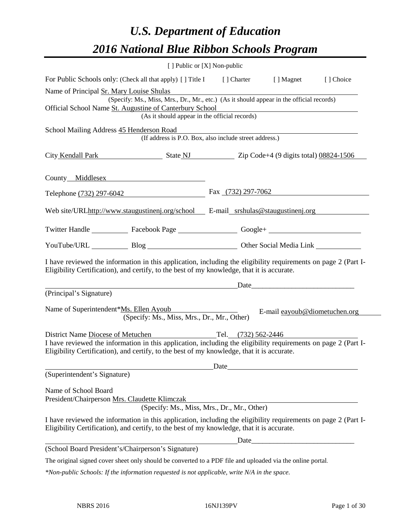# *U.S. Department of Education 2016 National Blue Ribbon Schools Program*

|                                                                                                                                                                                                              | [ ] Public or [X] Non-public                                                             |                    |                                                                                                                                                                                                                               |           |
|--------------------------------------------------------------------------------------------------------------------------------------------------------------------------------------------------------------|------------------------------------------------------------------------------------------|--------------------|-------------------------------------------------------------------------------------------------------------------------------------------------------------------------------------------------------------------------------|-----------|
| For Public Schools only: (Check all that apply) [] Title I [] Charter [] Magnet                                                                                                                              |                                                                                          |                    |                                                                                                                                                                                                                               | [] Choice |
| Name of Principal Sr. Mary Louise Shulas                                                                                                                                                                     |                                                                                          |                    |                                                                                                                                                                                                                               |           |
|                                                                                                                                                                                                              | (Specify: Ms., Miss, Mrs., Dr., Mr., etc.) (As it should appear in the official records) |                    |                                                                                                                                                                                                                               |           |
| Official School Name St. Augustine of Canterbury School                                                                                                                                                      |                                                                                          |                    |                                                                                                                                                                                                                               |           |
|                                                                                                                                                                                                              | (As it should appear in the official records)                                            |                    |                                                                                                                                                                                                                               |           |
| School Mailing Address 45 Henderson Road                                                                                                                                                                     | (If address is P.O. Box, also include street address.)                                   |                    |                                                                                                                                                                                                                               |           |
| City Kendall Park State NJ State NJ Zip Code+4 (9 digits total) 08824-1506                                                                                                                                   |                                                                                          |                    |                                                                                                                                                                                                                               |           |
| County Middlesex                                                                                                                                                                                             |                                                                                          |                    |                                                                                                                                                                                                                               |           |
| Telephone (732) 297-6042                                                                                                                                                                                     |                                                                                          | Fax (732) 297-7062 |                                                                                                                                                                                                                               |           |
| Web site/URLhttp://www.staugustinenj.org/school E-mail_srshulas@staugustinenj.org                                                                                                                            |                                                                                          |                    |                                                                                                                                                                                                                               |           |
| Twitter Handle ______________ Facebook Page ____________________ Google+ ___________________________                                                                                                         |                                                                                          |                    |                                                                                                                                                                                                                               |           |
| YouTube/URL Blog Blog Other Social Media Link                                                                                                                                                                |                                                                                          |                    |                                                                                                                                                                                                                               |           |
| I have reviewed the information in this application, including the eligibility requirements on page 2 (Part I-<br>Eligibility Certification), and certify, to the best of my knowledge, that it is accurate. |                                                                                          |                    |                                                                                                                                                                                                                               |           |
|                                                                                                                                                                                                              |                                                                                          |                    | Date and the same state of the state of the state of the state of the state of the state of the state of the state of the state of the state of the state of the state of the state of the state of the state of the state of |           |
| (Principal's Signature)                                                                                                                                                                                      |                                                                                          |                    |                                                                                                                                                                                                                               |           |
| Name of Superintendent*Ms. Ellen Ayoub                                                                                                                                                                       | (Specify: Ms., Miss, Mrs., Dr., Mr., Other)                                              |                    | E-mail eayoub@diometuchen.org                                                                                                                                                                                                 |           |
| District Name Diocese of Metuchen Tel. (732) 562-2446                                                                                                                                                        |                                                                                          |                    |                                                                                                                                                                                                                               |           |
| I have reviewed the information in this application, including the eligibility requirements on page 2 (Part I-<br>Eligibility Certification), and certify, to the best of my knowledge, that it is accurate. |                                                                                          |                    |                                                                                                                                                                                                                               |           |
|                                                                                                                                                                                                              |                                                                                          |                    | Date                                                                                                                                                                                                                          |           |
| (Superintendent's Signature)                                                                                                                                                                                 |                                                                                          |                    |                                                                                                                                                                                                                               |           |
| Name of School Board<br>President/Chairperson Mrs. Claudette Klimczak                                                                                                                                        | STATE IN THE MODEL IS A MISS AND MODEL IS A MISS, MISS, NES., Dr., Mr., Other)           |                    |                                                                                                                                                                                                                               |           |
| I have reviewed the information in this application, including the eligibility requirements on page 2 (Part I-<br>Eligibility Certification), and certify, to the best of my knowledge, that it is accurate. |                                                                                          |                    |                                                                                                                                                                                                                               |           |
|                                                                                                                                                                                                              |                                                                                          |                    |                                                                                                                                                                                                                               |           |
| (School Board President's/Chairperson's Signature)                                                                                                                                                           |                                                                                          |                    |                                                                                                                                                                                                                               |           |
| The original signed cover sheet only should be converted to a PDF file and uploaded via the online portal.                                                                                                   |                                                                                          |                    |                                                                                                                                                                                                                               |           |

*\*Non-public Schools: If the information requested is not applicable, write N/A in the space.*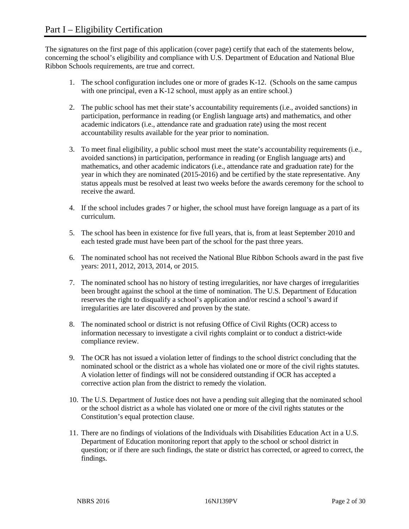The signatures on the first page of this application (cover page) certify that each of the statements below, concerning the school's eligibility and compliance with U.S. Department of Education and National Blue Ribbon Schools requirements, are true and correct.

- 1. The school configuration includes one or more of grades K-12. (Schools on the same campus with one principal, even a K-12 school, must apply as an entire school.)
- 2. The public school has met their state's accountability requirements (i.e., avoided sanctions) in participation, performance in reading (or English language arts) and mathematics, and other academic indicators (i.e., attendance rate and graduation rate) using the most recent accountability results available for the year prior to nomination.
- 3. To meet final eligibility, a public school must meet the state's accountability requirements (i.e., avoided sanctions) in participation, performance in reading (or English language arts) and mathematics, and other academic indicators (i.e., attendance rate and graduation rate) for the year in which they are nominated (2015-2016) and be certified by the state representative. Any status appeals must be resolved at least two weeks before the awards ceremony for the school to receive the award.
- 4. If the school includes grades 7 or higher, the school must have foreign language as a part of its curriculum.
- 5. The school has been in existence for five full years, that is, from at least September 2010 and each tested grade must have been part of the school for the past three years.
- 6. The nominated school has not received the National Blue Ribbon Schools award in the past five years: 2011, 2012, 2013, 2014, or 2015.
- 7. The nominated school has no history of testing irregularities, nor have charges of irregularities been brought against the school at the time of nomination. The U.S. Department of Education reserves the right to disqualify a school's application and/or rescind a school's award if irregularities are later discovered and proven by the state.
- 8. The nominated school or district is not refusing Office of Civil Rights (OCR) access to information necessary to investigate a civil rights complaint or to conduct a district-wide compliance review.
- 9. The OCR has not issued a violation letter of findings to the school district concluding that the nominated school or the district as a whole has violated one or more of the civil rights statutes. A violation letter of findings will not be considered outstanding if OCR has accepted a corrective action plan from the district to remedy the violation.
- 10. The U.S. Department of Justice does not have a pending suit alleging that the nominated school or the school district as a whole has violated one or more of the civil rights statutes or the Constitution's equal protection clause.
- 11. There are no findings of violations of the Individuals with Disabilities Education Act in a U.S. Department of Education monitoring report that apply to the school or school district in question; or if there are such findings, the state or district has corrected, or agreed to correct, the findings.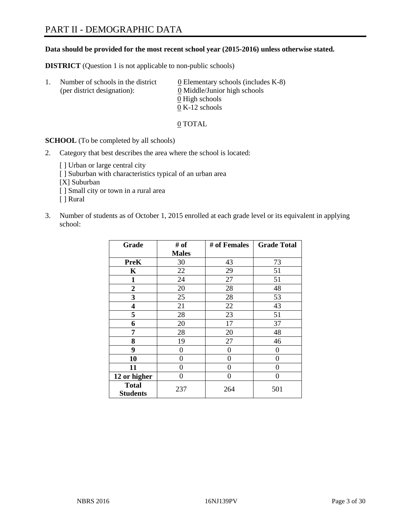#### **Data should be provided for the most recent school year (2015-2016) unless otherwise stated.**

**DISTRICT** (Question 1 is not applicable to non-public schools)

| $\mathbf{L}$ | Number of schools in the district<br>(per district designation): | $\underline{0}$ Elementary schools (includes K-8)<br>0 Middle/Junior high schools |
|--------------|------------------------------------------------------------------|-----------------------------------------------------------------------------------|
|              |                                                                  | 0 High schools                                                                    |
|              |                                                                  | $0 K-12$ schools                                                                  |

0 TOTAL

**SCHOOL** (To be completed by all schools)

- 2. Category that best describes the area where the school is located:
	- [] Urban or large central city [ ] Suburban with characteristics typical of an urban area [X] Suburban [ ] Small city or town in a rural area [ ] Rural
- 3. Number of students as of October 1, 2015 enrolled at each grade level or its equivalent in applying school:

| Grade                           | # of         | # of Females | <b>Grade Total</b> |
|---------------------------------|--------------|--------------|--------------------|
|                                 | <b>Males</b> |              |                    |
| <b>PreK</b>                     | 30           | 43           | 73                 |
| K                               | 22           | 29           | 51                 |
| 1                               | 24           | 27           | 51                 |
| $\overline{2}$                  | 20           | 28           | 48                 |
| 3                               | 25           | 28           | 53                 |
| 4                               | 21           | 22           | 43                 |
| 5                               | 28           | 23           | 51                 |
| 6                               | 20           | 17           | 37                 |
| 7                               | 28           | 20           | 48                 |
| 8                               | 19           | 27           | 46                 |
| 9                               | 0            | $\theta$     | 0                  |
| 10                              | 0            | 0            | 0                  |
| 11                              | $\theta$     | 0            | $\theta$           |
| 12 or higher                    | $\theta$     | 0            | 0                  |
| <b>Total</b><br><b>Students</b> | 237          | 264          | 501                |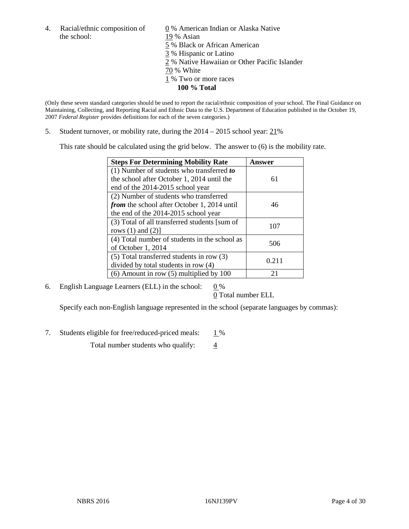the school: 19 % Asian

4. Racial/ethnic composition of  $\qquad 0\%$  American Indian or Alaska Native 5 % Black or African American 3 % Hispanic or Latino 2 % Native Hawaiian or Other Pacific Islander 70 % White 1 % Two or more races **100 % Total**

(Only these seven standard categories should be used to report the racial/ethnic composition of your school. The Final Guidance on Maintaining, Collecting, and Reporting Racial and Ethnic Data to the U.S. Department of Education published in the October 19, 2007 *Federal Register* provides definitions for each of the seven categories.)

5. Student turnover, or mobility rate, during the  $2014 - 2015$  school year:  $21\%$ 

This rate should be calculated using the grid below. The answer to (6) is the mobility rate.

| <b>Steps For Determining Mobility Rate</b>         | Answer |
|----------------------------------------------------|--------|
| (1) Number of students who transferred to          |        |
| the school after October 1, 2014 until the         | 61     |
| end of the 2014-2015 school year                   |        |
| (2) Number of students who transferred             |        |
| <i>from</i> the school after October 1, 2014 until | 46     |
| the end of the 2014-2015 school year               |        |
| (3) Total of all transferred students [sum of      | 107    |
| rows $(1)$ and $(2)$ ]                             |        |
| (4) Total number of students in the school as      | 506    |
| of October 1, 2014                                 |        |
| $(5)$ Total transferred students in row $(3)$      | 0.211  |
| divided by total students in row (4)               |        |
| $(6)$ Amount in row $(5)$ multiplied by 100        | 21     |

6. English Language Learners (ELL) in the school:  $0\%$ 

0 Total number ELL

Specify each non-English language represented in the school (separate languages by commas):

7. Students eligible for free/reduced-priced meals: 1%

Total number students who qualify:  $\frac{4}{5}$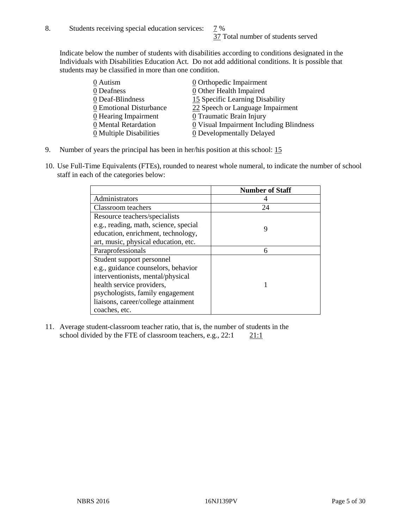Indicate below the number of students with disabilities according to conditions designated in the Individuals with Disabilities Education Act. Do not add additional conditions. It is possible that students may be classified in more than one condition.

| 0 Autism                              | $\underline{0}$ Orthopedic Impairment                 |
|---------------------------------------|-------------------------------------------------------|
| 0 Deafness                            | 0 Other Health Impaired                               |
| 0 Deaf-Blindness                      | 15 Specific Learning Disability                       |
| 0 Emotional Disturbance               | 22 Speech or Language Impairment                      |
| 0 Hearing Impairment                  | 0 Traumatic Brain Injury                              |
| 0 Mental Retardation                  | $\underline{0}$ Visual Impairment Including Blindness |
| $\underline{0}$ Multiple Disabilities | <b>0</b> Developmentally Delayed                      |

- 9. Number of years the principal has been in her/his position at this school: 15
- 10. Use Full-Time Equivalents (FTEs), rounded to nearest whole numeral, to indicate the number of school staff in each of the categories below:

|                                       | <b>Number of Staff</b> |
|---------------------------------------|------------------------|
| Administrators                        |                        |
| Classroom teachers                    | 24                     |
| Resource teachers/specialists         |                        |
| e.g., reading, math, science, special | 9                      |
| education, enrichment, technology,    |                        |
| art, music, physical education, etc.  |                        |
| Paraprofessionals                     | 6                      |
| Student support personnel             |                        |
| e.g., guidance counselors, behavior   |                        |
| interventionists, mental/physical     |                        |
| health service providers,             |                        |
| psychologists, family engagement      |                        |
| liaisons, career/college attainment   |                        |
| coaches, etc.                         |                        |

11. Average student-classroom teacher ratio, that is, the number of students in the school divided by the FTE of classroom teachers, e.g.,  $22:1$  21:1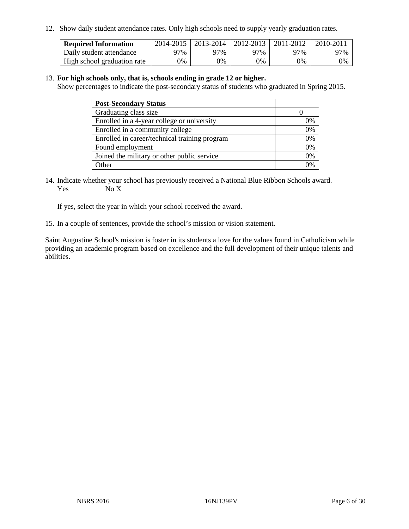12. Show daily student attendance rates. Only high schools need to supply yearly graduation rates.

| <b>Required Information</b> | 2014-2015 l | 2013-2014   2012-2013 |     | 2011-2012 | 2010-2011 |
|-----------------------------|-------------|-----------------------|-----|-----------|-----------|
| Daily student attendance    | 97%         | 97%                   | 97% | 97%       | 97%       |
| High school graduation rate | 0%          | $9\%$                 | 0%  | 9%        | 0%        |

#### 13. **For high schools only, that is, schools ending in grade 12 or higher.**

Show percentages to indicate the post-secondary status of students who graduated in Spring 2015.

| <b>Post-Secondary Status</b>                  |    |
|-----------------------------------------------|----|
| Graduating class size                         |    |
| Enrolled in a 4-year college or university    | 0% |
| Enrolled in a community college               | 0% |
| Enrolled in career/technical training program | 0% |
| Found employment                              | 0% |
| Joined the military or other public service   | 0% |
| Other                                         |    |

14. Indicate whether your school has previously received a National Blue Ribbon Schools award. Yes No X

If yes, select the year in which your school received the award.

15. In a couple of sentences, provide the school's mission or vision statement.

Saint Augustine School's mission is foster in its students a love for the values found in Catholicism while providing an academic program based on excellence and the full development of their unique talents and abilities.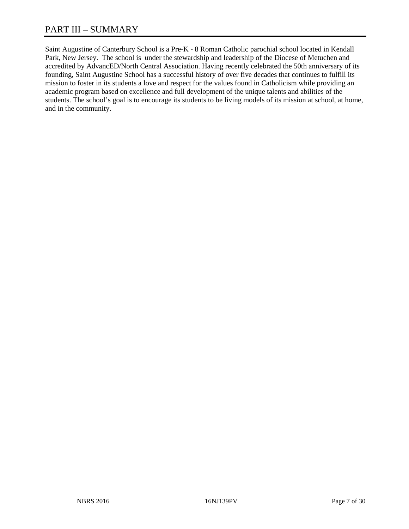# PART III – SUMMARY

Saint Augustine of Canterbury School is a Pre-K - 8 Roman Catholic parochial school located in Kendall Park, New Jersey. The school is under the stewardship and leadership of the Diocese of Metuchen and accredited by AdvancED/North Central Association. Having recently celebrated the 50th anniversary of its founding, Saint Augustine School has a successful history of over five decades that continues to fulfill its mission to foster in its students a love and respect for the values found in Catholicism while providing an academic program based on excellence and full development of the unique talents and abilities of the students. The school's goal is to encourage its students to be living models of its mission at school, at home, and in the community.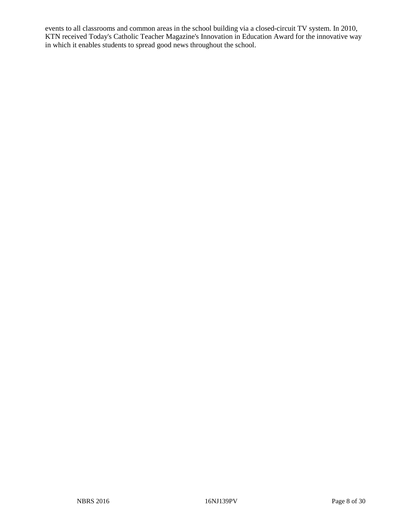events to all classrooms and common areas in the school building via a closed-circuit TV system. In 2010, KTN received Today's Catholic Teacher Magazine's Innovation in Education Award for the innovative way in which it enables students to spread good news throughout the school.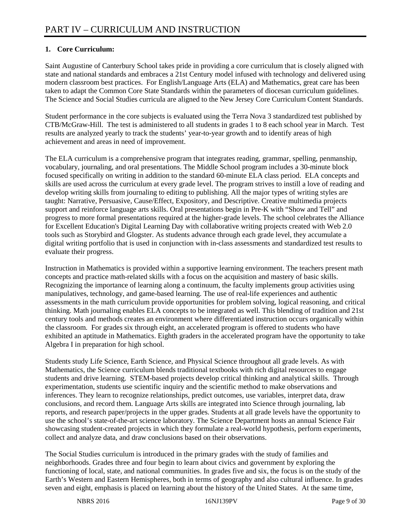## **1. Core Curriculum:**

Saint Augustine of Canterbury School takes pride in providing a core curriculum that is closely aligned with state and national standards and embraces a 21st Century model infused with technology and delivered using modern classroom best practices. For English/Language Arts (ELA) and Mathematics, great care has been taken to adapt the Common Core State Standards within the parameters of diocesan curriculum guidelines. The Science and Social Studies curricula are aligned to the New Jersey Core Curriculum Content Standards.

Student performance in the core subjects is evaluated using the Terra Nova 3 standardized test published by CTB/McGraw-Hill. The test is administered to all students in grades 1 to 8 each school year in March. Test results are analyzed yearly to track the students' year-to-year growth and to identify areas of high achievement and areas in need of improvement.

The ELA curriculum is a comprehensive program that integrates reading, grammar, spelling, penmanship, vocabulary, journaling, and oral presentations. The Middle School program includes a 30-minute block focused specifically on writing in addition to the standard 60-minute ELA class period. ELA concepts and skills are used across the curriculum at every grade level. The program strives to instill a love of reading and develop writing skills from journaling to editing to publishing. All the major types of writing styles are taught: Narrative, Persuasive, Cause/Effect, Expository, and Descriptive. Creative multimedia projects support and reinforce language arts skills. Oral presentations begin in Pre-K with "Show and Tell" and progress to more formal presentations required at the higher-grade levels. The school celebrates the Alliance for Excellent Education's Digital Learning Day with collaborative writing projects created with Web 2.0 tools such as Storybird and Glogster. As students advance through each grade level, they accumulate a digital writing portfolio that is used in conjunction with in-class assessments and standardized test results to evaluate their progress.

Instruction in Mathematics is provided within a supportive learning environment. The teachers present math concepts and practice math-related skills with a focus on the acquisition and mastery of basic skills. Recognizing the importance of learning along a continuum, the faculty implements group activities using manipulatives, technology, and game-based learning. The use of real-life experiences and authentic assessments in the math curriculum provide opportunities for problem solving, logical reasoning, and critical thinking. Math journaling enables ELA concepts to be integrated as well. This blending of tradition and 21st century tools and methods creates an environment where differentiated instruction occurs organically within the classroom. For grades six through eight, an accelerated program is offered to students who have exhibited an aptitude in Mathematics. Eighth graders in the accelerated program have the opportunity to take Algebra I in preparation for high school.

Students study Life Science, Earth Science, and Physical Science throughout all grade levels. As with Mathematics, the Science curriculum blends traditional textbooks with rich digital resources to engage students and drive learning. STEM-based projects develop critical thinking and analytical skills. Through experimentation, students use scientific inquiry and the scientific method to make observations and inferences. They learn to recognize relationships, predict outcomes, use variables, interpret data, draw conclusions, and record them. Language Arts skills are integrated into Science through journaling, lab reports, and research paper/projects in the upper grades. Students at all grade levels have the opportunity to use the school's state-of-the-art science laboratory. The Science Department hosts an annual Science Fair showcasing student-created projects in which they formulate a real-world hypothesis, perform experiments, collect and analyze data, and draw conclusions based on their observations.

The Social Studies curriculum is introduced in the primary grades with the study of families and neighborhoods. Grades three and four begin to learn about civics and government by exploring the functioning of local, state, and national communities. In grades five and six, the focus is on the study of the Earth's Western and Eastern Hemispheres, both in terms of geography and also cultural influence. In grades seven and eight, emphasis is placed on learning about the history of the United States. At the same time,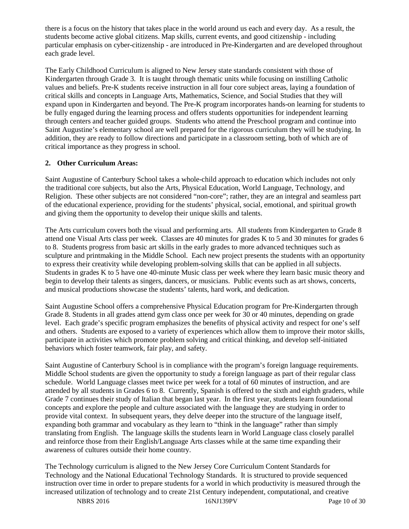there is a focus on the history that takes place in the world around us each and every day. As a result, the students become active global citizens. Map skills, current events, and good citizenship - including particular emphasis on cyber-citizenship - are introduced in Pre-Kindergarten and are developed throughout each grade level.

The Early Childhood Curriculum is aligned to New Jersey state standards consistent with those of Kindergarten through Grade 3. It is taught through thematic units while focusing on instilling Catholic values and beliefs. Pre-K students receive instruction in all four core subject areas, laying a foundation of critical skills and concepts in Language Arts, Mathematics, Science, and Social Studies that they will expand upon in Kindergarten and beyond. The Pre-K program incorporates hands-on learning for students to be fully engaged during the learning process and offers students opportunities for independent learning through centers and teacher guided groups. Students who attend the Preschool program and continue into Saint Augustine's elementary school are well prepared for the rigorous curriculum they will be studying. In addition, they are ready to follow directions and participate in a classroom setting, both of which are of critical importance as they progress in school.

## **2. Other Curriculum Areas:**

Saint Augustine of Canterbury School takes a whole-child approach to education which includes not only the traditional core subjects, but also the Arts, Physical Education, World Language, Technology, and Religion. These other subjects are not considered "non-core"; rather, they are an integral and seamless part of the educational experience, providing for the students' physical, social, emotional, and spiritual growth and giving them the opportunity to develop their unique skills and talents.

The Arts curriculum covers both the visual and performing arts. All students from Kindergarten to Grade 8 attend one Visual Arts class per week. Classes are 40 minutes for grades K to 5 and 30 minutes for grades 6 to 8. Students progress from basic art skills in the early grades to more advanced techniques such as sculpture and printmaking in the Middle School. Each new project presents the students with an opportunity to express their creativity while developing problem-solving skills that can be applied in all subjects. Students in grades K to 5 have one 40-minute Music class per week where they learn basic music theory and begin to develop their talents as singers, dancers, or musicians. Public events such as art shows, concerts, and musical productions showcase the students' talents, hard work, and dedication.

Saint Augustine School offers a comprehensive Physical Education program for Pre-Kindergarten through Grade 8. Students in all grades attend gym class once per week for 30 or 40 minutes, depending on grade level. Each grade's specific program emphasizes the benefits of physical activity and respect for one's self and others. Students are exposed to a variety of experiences which allow them to improve their motor skills, participate in activities which promote problem solving and critical thinking, and develop self-initiated behaviors which foster teamwork, fair play, and safety.

Saint Augustine of Canterbury School is in compliance with the program's foreign language requirements. Middle School students are given the opportunity to study a foreign language as part of their regular class schedule. World Language classes meet twice per week for a total of 60 minutes of instruction, and are attended by all students in Grades 6 to 8. Currently, Spanish is offered to the sixth and eighth graders, while Grade 7 continues their study of Italian that began last year. In the first year, students learn foundational concepts and explore the people and culture associated with the language they are studying in order to provide vital context. In subsequent years, they delve deeper into the structure of the language itself, expanding both grammar and vocabulary as they learn to "think in the language" rather than simply translating from English. The language skills the students learn in World Language class closely parallel and reinforce those from their English/Language Arts classes while at the same time expanding their awareness of cultures outside their home country.

The Technology curriculum is aligned to the New Jersey Core Curriculum Content Standards for Technology and the National Educational Technology Standards. It is structured to provide sequenced instruction over time in order to prepare students for a world in which productivity is measured through the increased utilization of technology and to create 21st Century independent, computational, and creative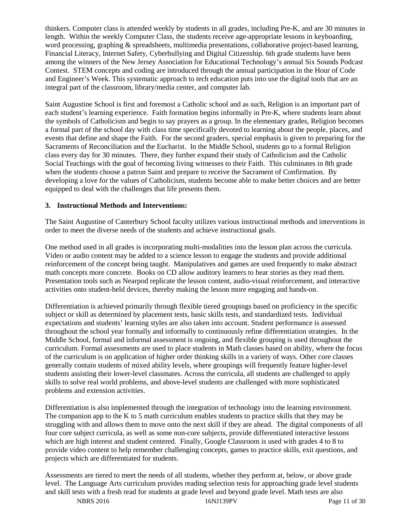thinkers. Computer class is attended weekly by students in all grades, including Pre-K, and are 30 minutes in length. Within the weekly Computer Class, the students receive age-appropriate lessons in keyboarding, word processing, graphing & spreadsheets, multimedia presentations, collaborative project-based learning, Financial Literacy, Internet Safety, Cyberbullying and Digital Citizenship. 6th grade students have been among the winners of the New Jersey Association for Educational Technology's annual Six Sounds Podcast Contest. STEM concepts and coding are introduced through the annual participation in the Hour of Code and Engineer's Week. This systematic approach to tech education puts into use the digital tools that are an integral part of the classroom, library/media center, and computer lab.

Saint Augustine School is first and foremost a Catholic school and as such, Religion is an important part of each student's learning experience. Faith formation begins informally in Pre-K, where students learn about the symbols of Catholicism and begin to say prayers as a group. In the elementary grades, Religion becomes a formal part of the school day with class time specifically devoted to learning about the people, places, and events that define and shape the Faith. For the second graders, special emphasis is given to preparing for the Sacraments of Reconciliation and the Eucharist. In the Middle School, students go to a formal Religion class every day for 30 minutes. There, they further expand their study of Catholicism and the Catholic Social Teachings with the goal of becoming living witnesses to their Faith. This culminates in 8th grade when the students choose a patron Saint and prepare to receive the Sacrament of Confirmation. By developing a love for the values of Catholicism, students become able to make better choices and are better equipped to deal with the challenges that life presents them.

#### **3. Instructional Methods and Interventions:**

The Saint Augustine of Canterbury School faculty utilizes various instructional methods and interventions in order to meet the diverse needs of the students and achieve instructional goals.

One method used in all grades is incorporating multi-modalities into the lesson plan across the curricula. Video or audio content may be added to a science lesson to engage the students and provide additional reinforcement of the concept being taught. Manipulatives and games are used frequently to make abstract math concepts more concrete. Books on CD allow auditory learners to hear stories as they read them. Presentation tools such as Nearpod replicate the lesson content, audio-visual reinforcement, and interactive activities onto student-held devices, thereby making the lesson more engaging and hands-on.

Differentiation is achieved primarily through flexible tiered groupings based on proficiency in the specific subject or skill as determined by placement tests, basic skills tests, and standardized tests. Individual expectations and students' learning styles are also taken into account. Student performance is assessed throughout the school year formally and informally to continuously refine differentiation strategies. In the Middle School, formal and informal assessment is ongoing, and flexible grouping is used throughout the curriculum. Formal assessments are used to place students in Math classes based on ability, where the focus of the curriculum is on application of higher order thinking skills in a variety of ways. Other core classes generally contain students of mixed ability levels, where groupings will frequently feature higher-level students assisting their lower-level classmates. Across the curricula, all students are challenged to apply skills to solve real world problems, and above-level students are challenged with more sophisticated problems and extension activities.

Differentiation is also implemented through the integration of technology into the learning environment. The companion app to the K to 5 math curriculum enables students to practice skills that they may be struggling with and allows them to move onto the next skill if they are ahead. The digital components of all four core subject curricula, as well as some non-core subjects, provide differentiated interactive lessons which are high interest and student centered. Finally, Google Classroom is used with grades 4 to 8 to provide video content to help remember challenging concepts, games to practice skills, exit questions, and projects which are differentiated for students.

Assessments are tiered to meet the needs of all students, whether they perform at, below, or above grade level. The Language Arts curriculum provides reading selection tests for approaching grade level students and skill tests with a fresh read for students at grade level and beyond grade level. Math tests are also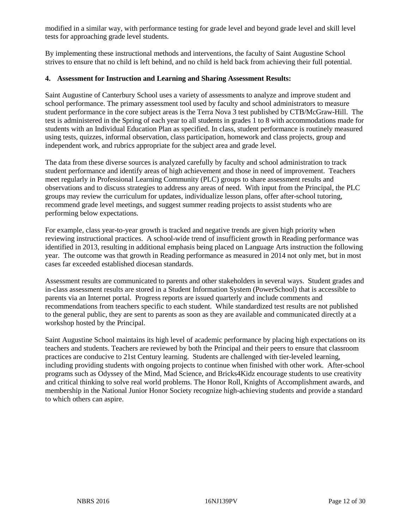modified in a similar way, with performance testing for grade level and beyond grade level and skill level tests for approaching grade level students.

By implementing these instructional methods and interventions, the faculty of Saint Augustine School strives to ensure that no child is left behind, and no child is held back from achieving their full potential.

#### **4. Assessment for Instruction and Learning and Sharing Assessment Results:**

Saint Augustine of Canterbury School uses a variety of assessments to analyze and improve student and school performance. The primary assessment tool used by faculty and school administrators to measure student performance in the core subject areas is the Terra Nova 3 test published by CTB/McGraw-Hill. The test is administered in the Spring of each year to all students in grades 1 to 8 with accommodations made for students with an Individual Education Plan as specified. In class, student performance is routinely measured using tests, quizzes, informal observation, class participation, homework and class projects, group and independent work, and rubrics appropriate for the subject area and grade level.

The data from these diverse sources is analyzed carefully by faculty and school administration to track student performance and identify areas of high achievement and those in need of improvement. Teachers meet regularly in Professional Learning Community (PLC) groups to share assessment results and observations and to discuss strategies to address any areas of need. With input from the Principal, the PLC groups may review the curriculum for updates, individualize lesson plans, offer after-school tutoring, recommend grade level meetings, and suggest summer reading projects to assist students who are performing below expectations.

For example, class year-to-year growth is tracked and negative trends are given high priority when reviewing instructional practices. A school-wide trend of insufficient growth in Reading performance was identified in 2013, resulting in additional emphasis being placed on Language Arts instruction the following year. The outcome was that growth in Reading performance as measured in 2014 not only met, but in most cases far exceeded established diocesan standards.

Assessment results are communicated to parents and other stakeholders in several ways. Student grades and in-class assessment results are stored in a Student Information System (PowerSchool) that is accessible to parents via an Internet portal. Progress reports are issued quarterly and include comments and recommendations from teachers specific to each student. While standardized test results are not published to the general public, they are sent to parents as soon as they are available and communicated directly at a workshop hosted by the Principal.

Saint Augustine School maintains its high level of academic performance by placing high expectations on its teachers and students. Teachers are reviewed by both the Principal and their peers to ensure that classroom practices are conducive to 21st Century learning. Students are challenged with tier-leveled learning, including providing students with ongoing projects to continue when finished with other work. After-school programs such as Odyssey of the Mind, Mad Science, and Bricks4Kidz encourage students to use creativity and critical thinking to solve real world problems. The Honor Roll, Knights of Accomplishment awards, and membership in the National Junior Honor Society recognize high-achieving students and provide a standard to which others can aspire.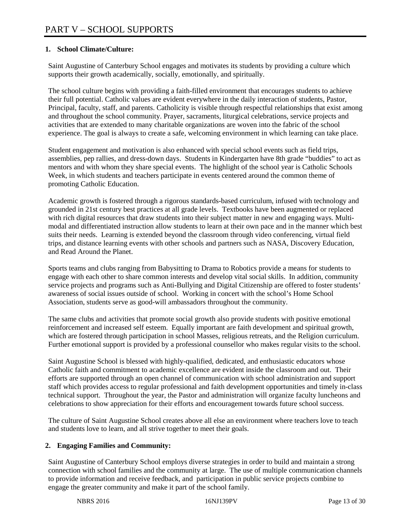## **1. School Climate/Culture:**

Saint Augustine of Canterbury School engages and motivates its students by providing a culture which supports their growth academically, socially, emotionally, and spiritually.

The school culture begins with providing a faith-filled environment that encourages students to achieve their full potential. Catholic values are evident everywhere in the daily interaction of students, Pastor, Principal, faculty, staff, and parents. Catholicity is visible through respectful relationships that exist among and throughout the school community. Prayer, sacraments, liturgical celebrations, service projects and activities that are extended to many charitable organizations are woven into the fabric of the school experience. The goal is always to create a safe, welcoming environment in which learning can take place.

Student engagement and motivation is also enhanced with special school events such as field trips, assemblies, pep rallies, and dress-down days. Students in Kindergarten have 8th grade "buddies" to act as mentors and with whom they share special events. The highlight of the school year is Catholic Schools Week, in which students and teachers participate in events centered around the common theme of promoting Catholic Education.

Academic growth is fostered through a rigorous standards-based curriculum, infused with technology and grounded in 21st century best practices at all grade levels. Textbooks have been augmented or replaced with rich digital resources that draw students into their subject matter in new and engaging ways. Multimodal and differentiated instruction allow students to learn at their own pace and in the manner which best suits their needs. Learning is extended beyond the classroom through video conferencing, virtual field trips, and distance learning events with other schools and partners such as NASA, Discovery Education, and Read Around the Planet.

Sports teams and clubs ranging from Babysitting to Drama to Robotics provide a means for students to engage with each other to share common interests and develop vital social skills. In addition, community service projects and programs such as Anti-Bullying and Digital Citizenship are offered to foster students' awareness of social issues outside of school. Working in concert with the school's Home School Association, students serve as good-will ambassadors throughout the community.

The same clubs and activities that promote social growth also provide students with positive emotional reinforcement and increased self esteem. Equally important are faith development and spiritual growth, which are fostered through participation in school Masses, religious retreats, and the Religion curriculum. Further emotional support is provided by a professional counsellor who makes regular visits to the school.

Saint Augustine School is blessed with highly-qualified, dedicated, and enthusiastic educators whose Catholic faith and commitment to academic excellence are evident inside the classroom and out. Their efforts are supported through an open channel of communication with school administration and support staff which provides access to regular professional and faith development opportunities and timely in-class technical support. Throughout the year, the Pastor and administration will organize faculty luncheons and celebrations to show appreciation for their efforts and encouragement towards future school success.

The culture of Saint Augustine School creates above all else an environment where teachers love to teach and students love to learn, and all strive together to meet their goals.

## **2. Engaging Families and Community:**

Saint Augustine of Canterbury School employs diverse strategies in order to build and maintain a strong connection with school families and the community at large. The use of multiple communication channels to provide information and receive feedback, and participation in public service projects combine to engage the greater community and make it part of the school family.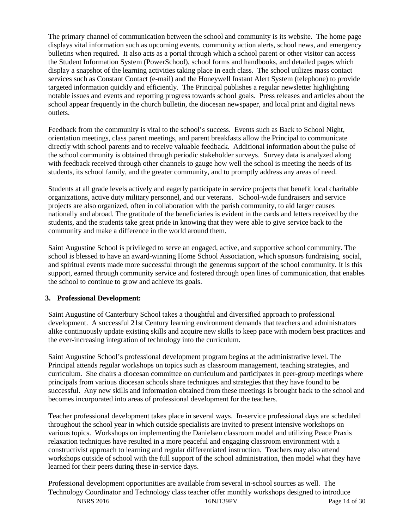The primary channel of communication between the school and community is its website. The home page displays vital information such as upcoming events, community action alerts, school news, and emergency bulletins when required. It also acts as a portal through which a school parent or other visitor can access the Student Information System (PowerSchool), school forms and handbooks, and detailed pages which display a snapshot of the learning activities taking place in each class. The school utilizes mass contact services such as Constant Contact (e-mail) and the Honeywell Instant Alert System (telephone) to provide targeted information quickly and efficiently. The Principal publishes a regular newsletter highlighting notable issues and events and reporting progress towards school goals. Press releases and articles about the school appear frequently in the church bulletin, the diocesan newspaper, and local print and digital news outlets.

Feedback from the community is vital to the school's success. Events such as Back to School Night, orientation meetings, class parent meetings, and parent breakfasts allow the Principal to communicate directly with school parents and to receive valuable feedback. Additional information about the pulse of the school community is obtained through periodic stakeholder surveys. Survey data is analyzed along with feedback received through other channels to gauge how well the school is meeting the needs of its students, its school family, and the greater community, and to promptly address any areas of need.

Students at all grade levels actively and eagerly participate in service projects that benefit local charitable organizations, active duty military personnel, and our veterans. School-wide fundraisers and service projects are also organized, often in collaboration with the parish community, to aid larger causes nationally and abroad. The gratitude of the beneficiaries is evident in the cards and letters received by the students, and the students take great pride in knowing that they were able to give service back to the community and make a difference in the world around them.

Saint Augustine School is privileged to serve an engaged, active, and supportive school community. The school is blessed to have an award-winning Home School Association, which sponsors fundraising, social, and spiritual events made more successful through the generous support of the school community. It is this support, earned through community service and fostered through open lines of communication, that enables the school to continue to grow and achieve its goals.

## **3. Professional Development:**

Saint Augustine of Canterbury School takes a thoughtful and diversified approach to professional development. A successful 21st Century learning environment demands that teachers and administrators alike continuously update existing skills and acquire new skills to keep pace with modern best practices and the ever-increasing integration of technology into the curriculum.

Saint Augustine School's professional development program begins at the administrative level. The Principal attends regular workshops on topics such as classroom management, teaching strategies, and curriculum. She chairs a diocesan committee on curriculum and participates in peer-group meetings where principals from various diocesan schools share techniques and strategies that they have found to be successful. Any new skills and information obtained from these meetings is brought back to the school and becomes incorporated into areas of professional development for the teachers.

Teacher professional development takes place in several ways. In-service professional days are scheduled throughout the school year in which outside specialists are invited to present intensive workshops on various topics. Workshops on implementing the Danielsen classroom model and utilizing Peace Praxis relaxation techniques have resulted in a more peaceful and engaging classroom environment with a constructivist approach to learning and regular differentiated instruction. Teachers may also attend workshops outside of school with the full support of the school administration, then model what they have learned for their peers during these in-service days.

NBRS 2016 16NJ139PV Page 14 of 30 Professional development opportunities are available from several in-school sources as well. The Technology Coordinator and Technology class teacher offer monthly workshops designed to introduce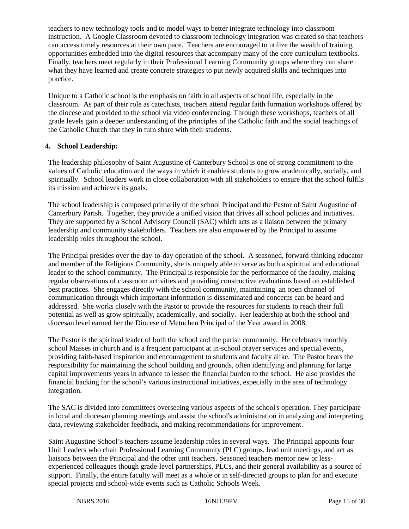teachers to new technology tools and to model ways to better integrate technology into classroom instruction. A Google Classroom devoted to classroom technology integration was created so that teachers can access timely resources at their own pace. Teachers are encouraged to utilize the wealth of training opportunities embedded into the digital resources that accompany many of the core curriculum textbooks. Finally, teachers meet regularly in their Professional Learning Community groups where they can share what they have learned and create concrete strategies to put newly acquired skills and techniques into practice.

Unique to a Catholic school is the emphasis on faith in all aspects of school life, especially in the classroom. As part of their role as catechists, teachers attend regular faith formation workshops offered by the diocese and provided to the school via video conferencing. Through these workshops, teachers of all grade levels gain a deeper understanding of the principles of the Catholic faith and the social teachings of the Catholic Church that they in turn share with their students.

#### **4. School Leadership:**

The leadership philosophy of Saint Augustine of Canterbury School is one of strong commitment to the values of Catholic education and the ways in which it enables students to grow academically, socially, and spiritually. School leaders work in close collaboration with all stakeholders to ensure that the school fulfils its mission and achieves its goals.

The school leadership is composed primarily of the school Principal and the Pastor of Saint Augustine of Canterbury Parish. Together, they provide a unified vision that drives all school policies and initiatives. They are supported by a School Advisory Council (SAC) which acts as a liaison between the primary leadership and community stakeholders. Teachers are also empowered by the Principal to assume leadership roles throughout the school.

The Principal presides over the day-to-day operation of the school. A seasoned, forward-thinking educator and member of the Religious Community, she is uniquely able to serve as both a spiritual and educational leader to the school community. The Principal is responsible for the performance of the faculty, making regular observations of classroom activities and providing constructive evaluations based on established best practices. She engages directly with the school community, maintaining an open channel of communication through which important information is disseminated and concerns can be heard and addressed. She works closely with the Pastor to provide the resources for students to reach their full potential as well as grow spiritually, academically, and socially. Her leadership at both the school and diocesan level earned her the Diocese of Metuchen Principal of the Year award in 2008.

The Pastor is the spiritual leader of both the school and the parish community. He celebrates monthly school Masses in church and is a frequent participant at in-school prayer services and special events, providing faith-based inspiration and encouragement to students and faculty alike. The Pastor bears the responsibility for maintaining the school building and grounds, often identifying and planning for large capital improvements years in advance to lessen the financial burden to the school. He also provides the financial backing for the school's various instructional initiatives, especially in the area of technology integration.

The SAC is divided into committees overseeing various aspects of the school's operation. They participate in local and diocesan planning meetings and assist the school's administration in analyzing and interpreting data, reviewing stakeholder feedback, and making recommendations for improvement.

Saint Augustine School's teachers assume leadership roles in several ways. The Principal appoints four Unit Leaders who chair Professional Learning Community (PLC) groups, lead unit meetings, and act as liaisons between the Principal and the other unit teachers. Seasoned teachers mentor new or lessexperienced colleagues though grade-level partnerships, PLCs, and their general availability as a source of support. Finally, the entire faculty will meet as a whole or in self-directed groups to plan for and execute special projects and school-wide events such as Catholic Schools Week.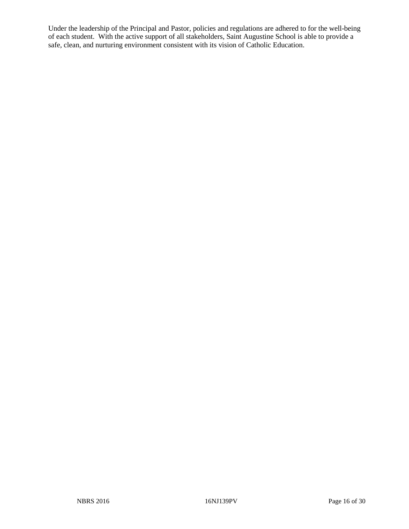Under the leadership of the Principal and Pastor, policies and regulations are adhered to for the well-being of each student. With the active support of all stakeholders, Saint Augustine School is able to provide a safe, clean, and nurturing environment consistent with its vision of Catholic Education.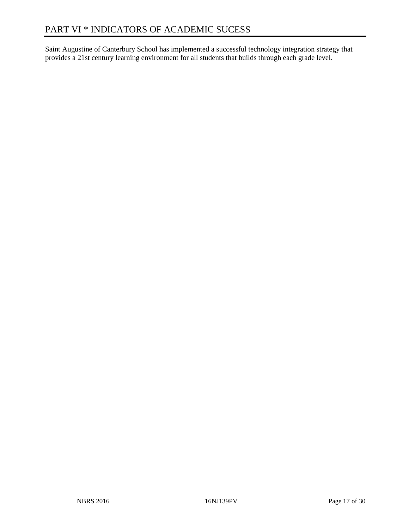Saint Augustine of Canterbury School has implemented a successful technology integration strategy that provides a 21st century learning environment for all students that builds through each grade level.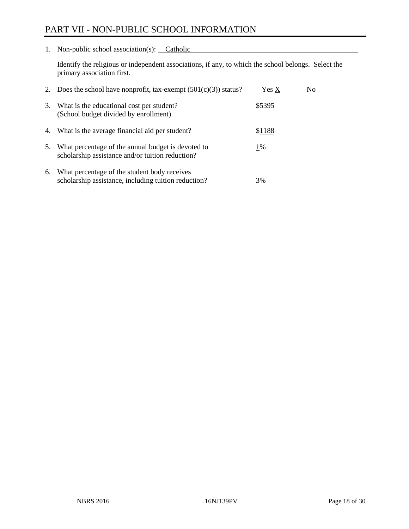## PART VII - NON-PUBLIC SCHOOL INFORMATION

1. Non-public school association(s): Catholic

Identify the religious or independent associations, if any, to which the school belongs. Select the primary association first.

| 2. | Does the school have nonprofit, tax-exempt $(501(c)(3))$ status?                                       | Yes X  | No. |
|----|--------------------------------------------------------------------------------------------------------|--------|-----|
| 3. | What is the educational cost per student?<br>(School budget divided by enrollment)                     | \$5395 |     |
| 4. | What is the average financial aid per student?                                                         | \$1188 |     |
| 5. | What percentage of the annual budget is devoted to<br>scholarship assistance and/or tuition reduction? | 1%     |     |
| 6. | What percentage of the student body receives<br>scholarship assistance, including tuition reduction?   | 3%     |     |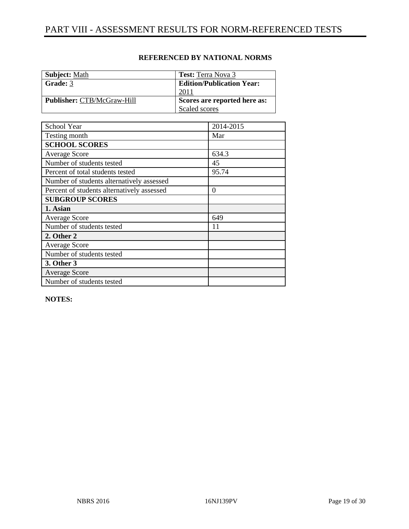| <b>Subject:</b> Math              | <b>Test:</b> Terra Nova 3        |
|-----------------------------------|----------------------------------|
| Grade: 3                          | <b>Edition/Publication Year:</b> |
|                                   |                                  |
| <b>Publisher: CTB/McGraw-Hill</b> | Scores are reported here as:     |
|                                   | Scaled scores                    |

| School Year                                | 2014-2015 |
|--------------------------------------------|-----------|
| Testing month                              | Mar       |
| <b>SCHOOL SCORES</b>                       |           |
| <b>Average Score</b>                       | 634.3     |
| Number of students tested                  | 45        |
| Percent of total students tested           | 95.74     |
| Number of students alternatively assessed  |           |
| Percent of students alternatively assessed | $\theta$  |
| <b>SUBGROUP SCORES</b>                     |           |
| 1. Asian                                   |           |
| Average Score                              | 649       |
| Number of students tested                  | 11        |
| 2. Other 2                                 |           |
| Average Score                              |           |
| Number of students tested                  |           |
| 3. Other 3                                 |           |
| <b>Average Score</b>                       |           |
| Number of students tested                  |           |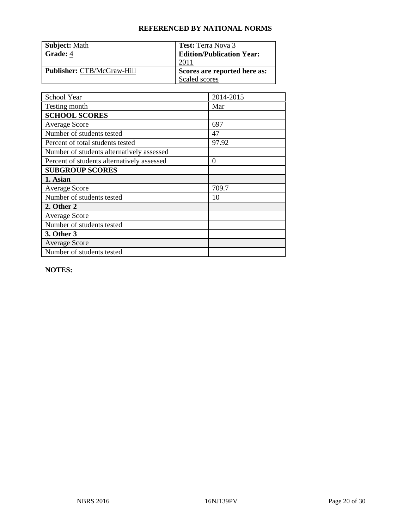| <b>Subject: Math</b>       | <b>Test:</b> Terra Nova 3        |
|----------------------------|----------------------------------|
| Grade: 4                   | <b>Edition/Publication Year:</b> |
|                            |                                  |
| Publisher: CTB/McGraw-Hill | Scores are reported here as:     |
|                            | Scaled scores                    |

| School Year                                | 2014-2015        |
|--------------------------------------------|------------------|
| Testing month                              | Mar              |
| <b>SCHOOL SCORES</b>                       |                  |
| <b>Average Score</b>                       | 697              |
| Number of students tested                  | 47               |
| Percent of total students tested           | 97.92            |
| Number of students alternatively assessed  |                  |
| Percent of students alternatively assessed | $\boldsymbol{0}$ |
| <b>SUBGROUP SCORES</b>                     |                  |
| 1. Asian                                   |                  |
| <b>Average Score</b>                       | 709.7            |
| Number of students tested                  | 10               |
| 2. Other 2                                 |                  |
| <b>Average Score</b>                       |                  |
| Number of students tested                  |                  |
| 3. Other 3                                 |                  |
| <b>Average Score</b>                       |                  |
| Number of students tested                  |                  |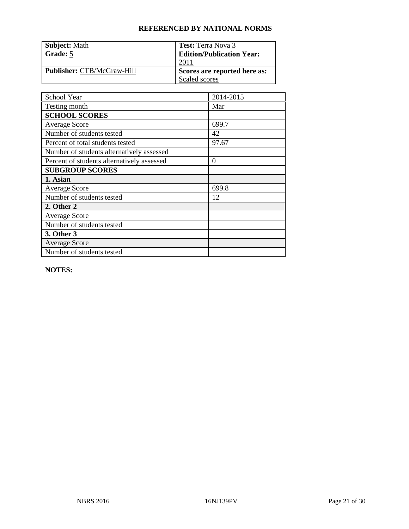| <b>Subject: Math</b>       | <b>Test:</b> Terra Nova 3        |
|----------------------------|----------------------------------|
| Grade: 5                   | <b>Edition/Publication Year:</b> |
|                            |                                  |
| Publisher: CTB/McGraw-Hill | Scores are reported here as:     |
|                            | Scaled scores                    |

| School Year                                | 2014-2015        |
|--------------------------------------------|------------------|
| Testing month                              | Mar              |
| <b>SCHOOL SCORES</b>                       |                  |
| <b>Average Score</b>                       | 699.7            |
| Number of students tested                  | 42               |
| Percent of total students tested           | 97.67            |
| Number of students alternatively assessed  |                  |
| Percent of students alternatively assessed | $\boldsymbol{0}$ |
| <b>SUBGROUP SCORES</b>                     |                  |
| 1. Asian                                   |                  |
| <b>Average Score</b>                       | 699.8            |
| Number of students tested                  | 12               |
| 2. Other 2                                 |                  |
| <b>Average Score</b>                       |                  |
| Number of students tested                  |                  |
| 3. Other 3                                 |                  |
| <b>Average Score</b>                       |                  |
| Number of students tested                  |                  |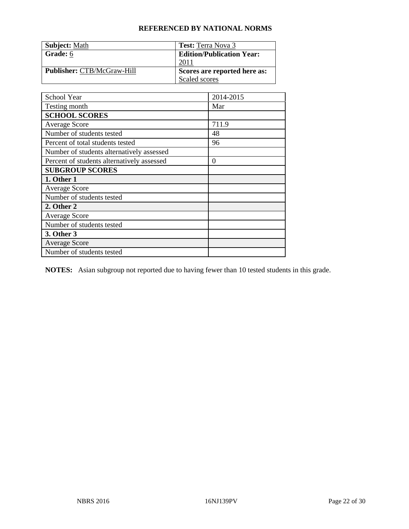| <b>Subject: Math</b>              | <b>Test:</b> Terra Nova 3        |
|-----------------------------------|----------------------------------|
| Grade: 6                          | <b>Edition/Publication Year:</b> |
|                                   | 2011                             |
| <b>Publisher: CTB/McGraw-Hill</b> | Scores are reported here as:     |
|                                   | Scaled scores                    |

| School Year                                | 2014-2015 |
|--------------------------------------------|-----------|
| Testing month                              | Mar       |
| <b>SCHOOL SCORES</b>                       |           |
| <b>Average Score</b>                       | 711.9     |
| Number of students tested                  | 48        |
| Percent of total students tested           | 96        |
| Number of students alternatively assessed  |           |
| Percent of students alternatively assessed | $\theta$  |
| <b>SUBGROUP SCORES</b>                     |           |
| 1. Other 1                                 |           |
| <b>Average Score</b>                       |           |
| Number of students tested                  |           |
| 2. Other 2                                 |           |
| <b>Average Score</b>                       |           |
| Number of students tested                  |           |
| 3. Other 3                                 |           |
| <b>Average Score</b>                       |           |
| Number of students tested                  |           |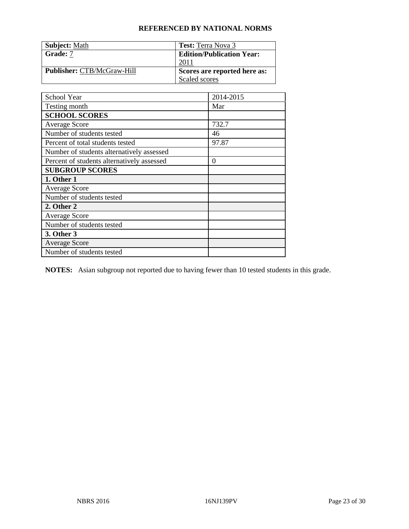| <b>Subject: Math</b>       | <b>Test:</b> Terra Nova 3        |
|----------------------------|----------------------------------|
| <b>Grade:</b> 7            | <b>Edition/Publication Year:</b> |
|                            |                                  |
| Publisher: CTB/McGraw-Hill | Scores are reported here as:     |
|                            | Scaled scores                    |

| School Year                                | 2014-2015 |
|--------------------------------------------|-----------|
| Testing month                              | Mar       |
| <b>SCHOOL SCORES</b>                       |           |
| <b>Average Score</b>                       | 732.7     |
| Number of students tested                  | 46        |
| Percent of total students tested           | 97.87     |
| Number of students alternatively assessed  |           |
| Percent of students alternatively assessed | $\theta$  |
| <b>SUBGROUP SCORES</b>                     |           |
| 1. Other 1                                 |           |
| <b>Average Score</b>                       |           |
| Number of students tested                  |           |
| 2. Other 2                                 |           |
| <b>Average Score</b>                       |           |
| Number of students tested                  |           |
| 3. Other 3                                 |           |
| <b>Average Score</b>                       |           |
| Number of students tested                  |           |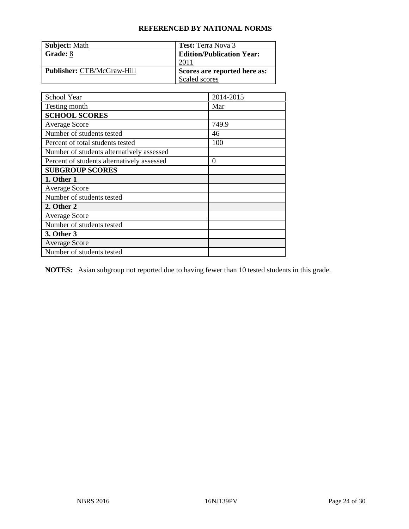| <b>Subject: Math</b>              | <b>Test:</b> Terra Nova 3        |
|-----------------------------------|----------------------------------|
| Grade: 8                          | <b>Edition/Publication Year:</b> |
|                                   | 2011                             |
| <b>Publisher: CTB/McGraw-Hill</b> | Scores are reported here as:     |
|                                   | Scaled scores                    |

| School Year                                | 2014-2015 |
|--------------------------------------------|-----------|
| Testing month                              | Mar       |
| <b>SCHOOL SCORES</b>                       |           |
| <b>Average Score</b>                       | 749.9     |
| Number of students tested                  | 46        |
| Percent of total students tested           | 100       |
| Number of students alternatively assessed  |           |
| Percent of students alternatively assessed | 0         |
| <b>SUBGROUP SCORES</b>                     |           |
| 1. Other 1                                 |           |
| <b>Average Score</b>                       |           |
| Number of students tested                  |           |
| 2. Other 2                                 |           |
| <b>Average Score</b>                       |           |
| Number of students tested                  |           |
| 3. Other 3                                 |           |
| <b>Average Score</b>                       |           |
| Number of students tested                  |           |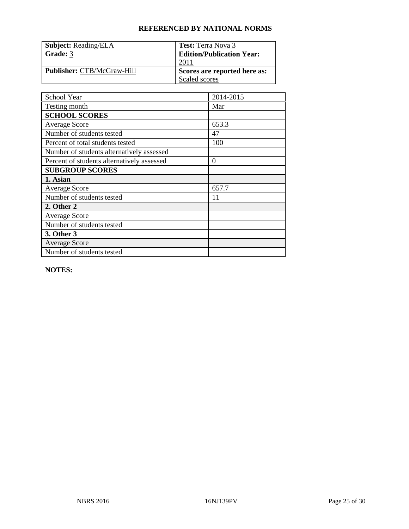| <b>Subject: Reading/ELA</b>       | <b>Test:</b> Terra Nova 3        |
|-----------------------------------|----------------------------------|
| Grade: 3                          | <b>Edition/Publication Year:</b> |
|                                   | $-201 -$                         |
| <b>Publisher: CTB/McGraw-Hill</b> | Scores are reported here as:     |
|                                   | Scaled scores                    |

| School Year                                | 2014-2015        |
|--------------------------------------------|------------------|
| Testing month                              | Mar              |
| <b>SCHOOL SCORES</b>                       |                  |
| <b>Average Score</b>                       | 653.3            |
| Number of students tested                  | 47               |
| Percent of total students tested           | 100              |
| Number of students alternatively assessed  |                  |
| Percent of students alternatively assessed | $\boldsymbol{0}$ |
| <b>SUBGROUP SCORES</b>                     |                  |
| 1. Asian                                   |                  |
| <b>Average Score</b>                       | 657.7            |
| Number of students tested                  | 11               |
| 2. Other 2                                 |                  |
| <b>Average Score</b>                       |                  |
| Number of students tested                  |                  |
| 3. Other 3                                 |                  |
| <b>Average Score</b>                       |                  |
| Number of students tested                  |                  |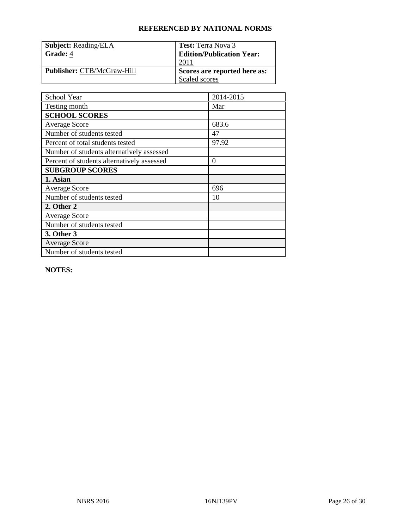| <b>Subject: Reading/ELA</b> | <b>Test:</b> Terra Nova 3        |
|-----------------------------|----------------------------------|
| Grade: 4                    | <b>Edition/Publication Year:</b> |
|                             |                                  |
| Publisher: CTB/McGraw-Hill  | Scores are reported here as:     |
|                             | Scaled scores                    |

| School Year                                | 2014-2015        |
|--------------------------------------------|------------------|
| Testing month                              | Mar              |
| <b>SCHOOL SCORES</b>                       |                  |
| <b>Average Score</b>                       | 683.6            |
| Number of students tested                  | 47               |
| Percent of total students tested           | 97.92            |
| Number of students alternatively assessed  |                  |
| Percent of students alternatively assessed | $\boldsymbol{0}$ |
| <b>SUBGROUP SCORES</b>                     |                  |
| 1. Asian                                   |                  |
| <b>Average Score</b>                       | 696              |
| Number of students tested                  | 10               |
| 2. Other 2                                 |                  |
| <b>Average Score</b>                       |                  |
| Number of students tested                  |                  |
| 3. Other 3                                 |                  |
| <b>Average Score</b>                       |                  |
| Number of students tested                  |                  |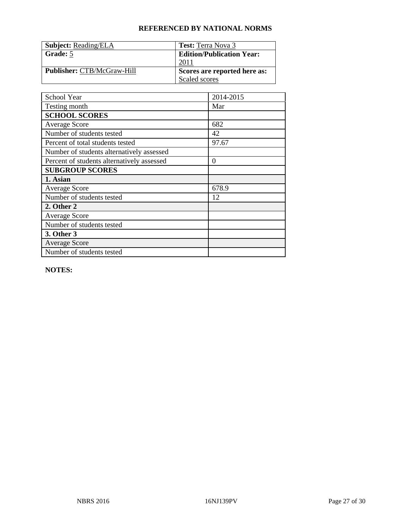| <b>Subject: Reading/ELA</b> | <b>Test:</b> Terra Nova 3        |
|-----------------------------|----------------------------------|
| Grade: 5                    | <b>Edition/Publication Year:</b> |
|                             |                                  |
| Publisher: CTB/McGraw-Hill  | Scores are reported here as:     |
|                             | Scaled scores                    |

| School Year                                | 2014-2015        |
|--------------------------------------------|------------------|
| Testing month                              | Mar              |
| <b>SCHOOL SCORES</b>                       |                  |
| <b>Average Score</b>                       | 682              |
| Number of students tested                  | 42               |
| Percent of total students tested           | 97.67            |
| Number of students alternatively assessed  |                  |
| Percent of students alternatively assessed | $\boldsymbol{0}$ |
| <b>SUBGROUP SCORES</b>                     |                  |
| 1. Asian                                   |                  |
| <b>Average Score</b>                       | 678.9            |
| Number of students tested                  | 12               |
| 2. Other 2                                 |                  |
| <b>Average Score</b>                       |                  |
| Number of students tested                  |                  |
| 3. Other 3                                 |                  |
| <b>Average Score</b>                       |                  |
| Number of students tested                  |                  |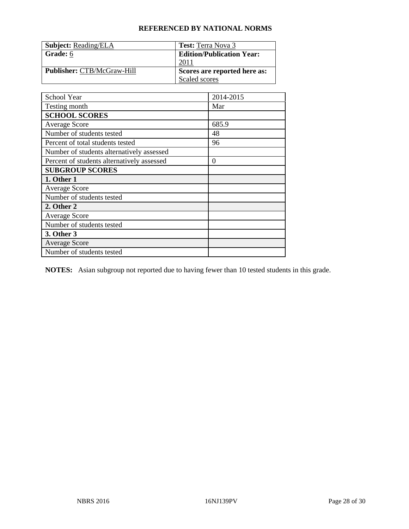| <b>Subject: Reading/ELA</b>       | <b>Test:</b> Terra Nova 3        |
|-----------------------------------|----------------------------------|
| Grade: 6                          | <b>Edition/Publication Year:</b> |
|                                   | 2011                             |
| <b>Publisher: CTB/McGraw-Hill</b> | Scores are reported here as:     |
|                                   | Scaled scores                    |

| School Year                                | 2014-2015 |
|--------------------------------------------|-----------|
| Testing month                              | Mar       |
| <b>SCHOOL SCORES</b>                       |           |
| <b>Average Score</b>                       | 685.9     |
| Number of students tested                  | 48        |
| Percent of total students tested           | 96        |
| Number of students alternatively assessed  |           |
| Percent of students alternatively assessed | 0         |
| <b>SUBGROUP SCORES</b>                     |           |
| 1. Other 1                                 |           |
| <b>Average Score</b>                       |           |
| Number of students tested                  |           |
| 2. Other 2                                 |           |
| <b>Average Score</b>                       |           |
| Number of students tested                  |           |
| 3. Other 3                                 |           |
| <b>Average Score</b>                       |           |
| Number of students tested                  |           |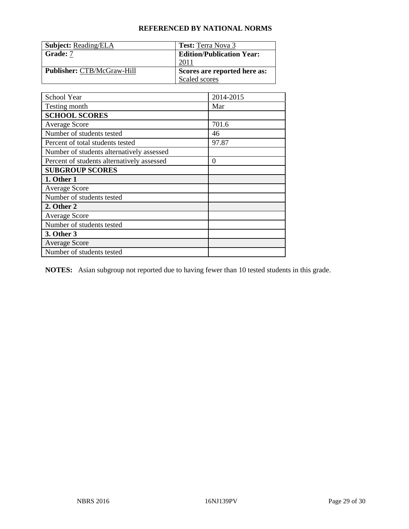| <b>Subject: Reading/ELA</b>       | <b>Test:</b> Terra Nova 3        |
|-----------------------------------|----------------------------------|
| Grade: 7                          | <b>Edition/Publication Year:</b> |
|                                   | 2011                             |
| <b>Publisher: CTB/McGraw-Hill</b> | Scores are reported here as:     |
|                                   | Scaled scores                    |

| School Year                                | 2014-2015 |
|--------------------------------------------|-----------|
| Testing month                              | Mar       |
| <b>SCHOOL SCORES</b>                       |           |
| <b>Average Score</b>                       | 701.6     |
| Number of students tested                  | 46        |
| Percent of total students tested           | 97.87     |
| Number of students alternatively assessed  |           |
| Percent of students alternatively assessed | 0         |
| <b>SUBGROUP SCORES</b>                     |           |
| 1. Other 1                                 |           |
| <b>Average Score</b>                       |           |
| Number of students tested                  |           |
| 2. Other 2                                 |           |
| <b>Average Score</b>                       |           |
| Number of students tested                  |           |
| 3. Other 3                                 |           |
| <b>Average Score</b>                       |           |
| Number of students tested                  |           |